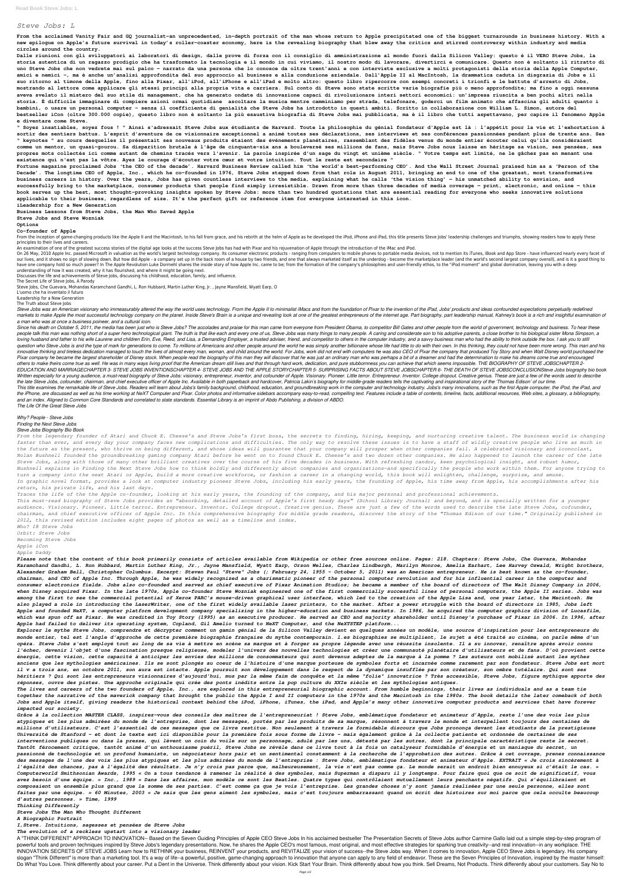## *Steve Jobs: L*

**From the acclaimed Vanity Fair and GQ journalist–an unprecedented, in-depth portrait of the man whose return to Apple precipitated one of the biggest turnarounds in business history. With a new epilogue on Apple's future survival in today's roller-coaster economy, here is the revealing biography that blew away the critics and stirred controversy within industry and media circles around the country.**

**Dalle riunioni con gli sviluppatori ai laboratori di design, dalle prove di forza con il consiglio di amministrazione al mondo fuori dalla Silicon Valley: questo è il VERO Steve Jobs, la storia autentica di un ragazzo prodigio che ha trasformato la tecnologia e il mondo in cui viviamo, il nostro modo di lavorare, divertirci e comunicare. Questo non è soltanto il ritratto di uno Steve Jobs che non vedrete mai sul palco - narrato da una persona che lo conosce da oltre trent'anni e con interviste esclusive a molti protagonisti della storia della Apple Computer, amici e nemici -, ma è anche un'analisi approfondita del suo approccio al business e alla conduzione aziendale. Dall'Apple II al MacIntosh, la drammatica caduta in disgrazia di Jobs e il suo ritorno al timone della Apple, fino alla Pixar, all'iPod, all'iPhone e all'iPad e molto altro: questo libro ripercorre con esempi concreti i trionfi e le battute d'arresto di Jobs, mostrando al lettore come applicare gli stessi principi alla propria vita e carriera. Sul conto di Steve sono state scritte varie biografie più o meno approfondite; ma fino a oggi nessuna aveva svelato il mistero del suo stile di management, che ha generato ondate di innovazione capaci di rivoluzionare interi settori economici: un'impresa riuscita a ben pochi altri nella storia. È difficile immaginare di compiere azioni ormai quotidiane ascoltare la musica mentre camminiamo per strada, telefonare, goderci un film animato che affascina gli adulti quanto i bambini, o usare un personal computer - senza il coefficiente di genialità che Steve Jobs ha introdotto in questi ambiti. Scritto in collaborazione con William L. Simon, autore del bestseller iCon (oltre 300.000 copie), questo libro non è soltanto la più esaustiva biografia di Steve Jobs mai pubblicata, ma è il libro che tutti aspettavano, per capire il fenomeno Apple e diventare come Steve.**

From the inception of game-changing products like the Apple II and the Macintosh, to his fall from grace, and his rebirth at the helm of Apple as he developed the iPod, iPhone and iPad, this title presents Steve Jobs' lead principles to their lives and careers.

**" Soyez insatiables, soyez fous ! " Ainsi s'adressait Steve Jobs aux étudiants de Harvard. Toute la philosophie du génial fondateur d'Apple est là : l'appétit pour la vie et l'exhortation à sortir des sentiers battus. L'esprit d'aventure de ce visionnaire exceptionnel a animé toutes ses déclarations, ses interviews et ses conférences passionnées pendant plus de trente ans. Ses " keynotes " au cours desquelles il présentait ses nouveaux produits étaient des événements planétaires, rassemblant des fidèles venus du monde entier écouter celui qu'ils considéraient comme un mentor, un quasi-gourou. Sa disparition brutale à l'âge de cinquante-six ans a bouleversé ses millions de fans, mais Steve Jobs nous laisse en héritage sa vision, ses pensées, ses propres mots collectés ici comme autant de chemins tracés vers l'avenir. La parole inspirée d'un sage du vingt et unième siècle. " Votre temps est limité, ne le gâchez pas en menant une existence qui n'est pas la vôtre. Ayez le courage d'écouter votre cœur et votre intuition. Tout le reste est secondaire "**

On 26 May, 2010 Apple Inc. passed Microsoft in valuation as the world's largest technology company. Its consumer electronic products - ranging from computers to mobile phones to portable media devices, not to mention its i our lives, and it shows no sign of slowing down. But how did Apple - a company set up in the back room of a house by two friends, and one that always marketed itself as the underdog - become the marketplace leader (and the have one company hold so much power? In The Apple Revolution Luke Dormehl shares the inside story of how Apple Inc. came to be; from the formation of the company's philosophies and user-friendly ethos, to the "iPod moment" understanding of how it was created, why it has flourished, and where it might be going next.

Steve Jobs was an American visionary who immeasurably altered the way the world uses technology. From the Apple II to minimalist iMacs and from the foundation of Pixar to the invention of the iPad, Jobs' products and ideas markets to make Apple the most successful technology company on the planet. Inside Steve's Brain is a unique and revealing look at one of the greatest entrepreneurs of the internet age. Part biography, part leadership manu *a man who was at once a business poineer, and a cultural icon.*

**Fortune magazine proclaimed Jobs 'the CEO of the decade'. Harvard Business Review called him 'the world's best-performing CEO'. And the Wall Street Journal praised him as a 'Person of the Decade'. The longtime CEO of Apple, Inc., which he co-founded in 1976, Steve Jobs stepped down from that role in August 2011, bringing an end to one of the greatest, most transformative business careers in history. Over the years, Jobs has given countless interviews to the media, explaining what he calls 'the vision thing' — his unmatched ability to envision, and successfully bring to the marketplace, consumer products that people find simply irresistible. Drawn from more than three decades of media coverage — print, electronic, and online — this book serves up the best, most thought-provoking insights spoken by Steve Jobs: more than two hundred quotations that are essential reading for everyone who seeks innovative solutions applicable to their business, regardless of size. It's the perfect gift or reference item for everyone interested in this icon.**

**iLeadership for a New Generation**

**Business Lessons from Steve Jobs, the Man Who Saved Apple**

**Steve Jobs and Steve Wozniak**

**Options**

**Co-founder of Apple**

An examination of one of the greatest success stories of the digital age looks at the success Steve Jobs has had with Pixar and his rejuvenation of Apple through the introduction of the iMac and iPod.

Since his death on October 5, 2011, the media has been just who is Steve Jobs? The accolades and praise for this man came from everyone from President Obama, to competitor Bill Gates and other people from the world of gove people talk this man was nothing short of a super hero technological giant. The truth is that like each and every one of us, Steve Jobs was many things to many people. A caring and considerate son to his adoptive parents, loving husband and father to his wife Laurene and children Erin. Eve. Reed, and Lisa, a Demanding Emplover, a trusted adviser, friend, and competitor to others in the computer industry, and a say w business man who had the question who Steve Jobs is and the type of mark for generations to come. To millions of Americans and other people around the world he was simply another billionaire whose life had little to do with their own. In this thin innovative thinking and tireless dedication managed to touch the lives of almost every man, woman, and child around the world. For Jobs, work did not end with computers he was also CEO of Pixar the company that produced To Pixar company he became the largest shareholder of Disney stock. When people read the biography of this man they will discover that he was just an ordinary man who was perhaps a bit of a dreamer and had the determination t others to make theirs come true as well. He was in many ways living proof that the American dream still lives and that through hard work, dedication, and pure stubbornness you can achieve that which seems impossible. THE B *EDUCATION AND MARRIAGECHAPTER 3- STEVE JOBS INVENTIONSCHAPTER 4- STEVE JOBS AND THE APPLE STORYCHAPTER 5- SURPRISING FACTS ABOUT STEVE JOBSCHAPTER 6- THE DEATH OF STEVE JOBSCONCLUSIONSteve Jobs biography bio book* Written especially for a young audience, a must-read biography of Steve Jobs: visionary, entrepreneur, inventor, and cofounder of Apple. Visionary. Pioneer. Little terror. Entrepreneur. Inventor. College dropout. Creative the late Steve Jobs, cofounder, chairman, and chief executive officer of Apple Inc. Available in both paperback and hardcover. Patricia Lakin's biography for middle-grade readers tells the captivating and inspirational sto This title examines the remarkable life of Steve Jobs. Readers will learn about Jobs's family backaround, childhood, education, and aroundbreaking work in the computer and technology industry. Jobs's many innovations, such the iPhone, are discussed as well as his time working at NeXT Computer and Pixar. Color photos and informative sidebars accompany easy-to-read, compelling text. Features include a table of contents, timeline, facts, additi *and an index. Aligned to Common Core Standards and correlated to state standards. Essential Library is an imprint of Abdo Publishing, a division of ABDO. The Life Of the Great Steve Jobs*

Discusses the life and achievements of Steve Jobs, discussing his childhood, education, family, and influence.

The Secret Life of Steve Jobs, A Parody

Steve Jobs, Che Guevara, Mohandas Karamchand Gandhi, L. Ron Hubbard, Martin Luther King, Jr. , Jayne Mansfield, Wyatt Earp, O

L'uomo che ha inventato il futuro

ILeadership for a New Generation

The Truth about Steve Jobs

### *Why? People - Steve Jobs Finding the Next Steve Jobs*

# *Steve Jobs Biography Bio Book*

*From the legendary founder of Atari and Chuck E. Cheese's and Steve Jobs's first boss, the secrets to finding, hiring, keeping, and nurturing creative talent. The business world is changing faster than ever, and every day your company faces new complications and difficulties. The only way to resolve these issues is to have a staff of wildly creative people who live as much in the future as the present, who thrive on being different, and whose ideas will guarantee that your company will prosper when other companies fail. A celebrated visionary and iconoclast, Nolan Bushnell founded the groundbreaking gaming company Atari before he went on to found Chuck E. Cheese's and two dozen other companies. He also happened to launch the career of the late Steve Jobs, along with those of many other brilliant creatives over the course of his five decades in business. With refreshing candor, keen psychological insight, and robust humor, Bushnell explains in Finding the Next Steve Jobs how to think boldly and differently about companies and organizations—and specifically the people who work within them. For anyone trying to turn a company into the next Atari or Apple, build a more creative workforce, or fashion a career in a changing world, this book will enlighten, challenge, surprise, and amuse. In graphic novel format, provides a look at computer industry pioneer Steve Jobs, including his early years, the founding of Apple, his time away from Apple, his accomplishments after his return, his private life, and his last days.*

*Traces the life of the the Apple co-founder, looking at his early years, the founding of the company, and his major personal and professional achievements.*

*This must-read biography of Steve Jobs provides an "absorbing, detailed account of Apple's first heady days" (School Library Journal) and beyond, and is specially written for a younger audience. Visionary. Pioneer. Little terror. Entrepreneur. Inventor. College dropout. Creative genius. These are just a few of the words used to describe the late Steve Jobs, cofounder, chairman, and chief executive officer of Apple Inc. In this comprehensive biography for middle grade readers, discover the story of the "Thomas Edison of our time." Originally published in 2012, this revised edition includes eight pages of photos as well as a timeline and index.*

*Who? 18 Steve Jobs*

*Orbit: Steve Jobs*

*Becoming Steve Jobs*

*Apple iCon*

*Apple Daddy*

*Please note that the content of this book primarily consists of articles available from Wikipedia or other free sources online. Pages: 218. Chapters: Steve Jobs, Che Guevara, Mohandas Karamchand Gandhi, L. Ron Hubbard, Martin Luther King, Jr., Jayne Mansfield, Wyatt Earp, Orson Welles, Charles Lindbergh, Marilyn Monroe, Amelia Earhart, Lee Harvey Oswald, Wright brothers, Alexander Graham Bell, Christopher Columbus. Excerpt: Steven Paul "Steve" Jobs (; February 24, 1955 - October 5, 2011) was an American entrepreneur. He is best known as the co-founder, chairman, and CEO of Apple Inc. Through Apple, he was widely recognized as a charismatic pioneer of the personal computer revolution and for his influential career in the computer and consumer electronics fields. Jobs also co-founded and served as chief executive of Pixar Animation Studios; he became a member of the board of directors of The Walt Disney Company in 2006, when Disney acquired Pixar. In the late 1970s, Apple co-founder Steve Wozniak engineered one of the first commercially successful lines of personal computers, the Apple II series. Jobs was among the first to see the commercial potential of Xerox PARC's mouse-driven graphical user interface, which led to the creation of the Apple Lisa and, one year later, the Macintosh. He also played a role in introducing the LaserWriter, one of the first widely available laser printers, to the market. After a power struggle with the board of directors in 1985, Jobs left Apple and founded NeXT, a computer platform development company specializing in the higher-education and business markets. In 1986, he acquired the computer graphics division of Lucasfilm, which was spun off as Pixar. He was credited in Toy Story (1995) as an executive producer. He served as CEO and majority shareholder until Disney's purchase of Pixar in 2006. In 1996, after Apple had failed to deliver its operating system, Copland, Gil Amelio turned to NeXT Computer, and the NeXTSTEP platform...*

*Explorer le mythe Steve Jobs, comprendre et décrypter comment un gamin génial de la Silicon Valley devient en quelques années un modèle, une source d'inspiration pour les entrepreneurs du monde entier, tel est l'angle d'approche de cette première biographie française du mythe contemporain. l.es biographies se multiplient, le sujet a été traité au cinéma, on parle même d'un opéra. Steve Jobs s'est employé tout au long de sa vie à mettre en scène sa marque et à forger sa propre légende avec une réussite insolente. Il a su innover, renaître après avoir connu l'échec, devenir l'objet d'une fascination presque religieuse, modeler l'univers des nouvelles technologies et créer une communauté planétaire d'utilisateurs et de fans. D'où provient cette énergie, cette vision, cette capacité à anticiper les envies des millions de consommateurs qui sont devenus adeptes de la marque à la pomme ? Les auteurs ont mobilisé autant les mythes anciens que les mythologies américaines. Ils se sont plongés au coeur de l'histoire d'une marque porteuse de symboles forts et incarnée comme rarement par son fondateur. Steve Jobs est mort*

*il v a trois ans, en octobre 2011, son aura est intacte. Apple poursuit son développement dans le respect de la dynamique insufflée par son créateur, son ombre tutélaire. Qui sont ses héritiers ? Qui sont les entrepreneurs visionnaires d'aujourd'hui, mus par la même faim de conquête et la même "folie" innovatrice ? Très accessible, Steve Jobs, figure mythique apporte des réponses, ouvre des pistes. Une approche originale qui crée des ponts inédits entre la pop culture du XXIe siècle et les mythologies antiques.*

*The lives and careers of the two founders of Apple, Inc., are explored in this entrepreneurial biographic account. From humble beginnings, their lives as individuals and as a team tie together the narrative of the maverick company that brought the public the Apple I and II computers in the 1970s and the Macintosh in the 1980s. The book details the later comeback of both Jobs and Apple itself, giving readers the historical context behind the iPod, iPhone, iTunes, the iPad, and Apple's many other innovative computer products and services that have forever impacted our society.*

*Grâce à la collection MASTER CLASS, inspirez-vous des conseils des maîtres de l'entrepreneuriat ! Steve Jobs, emblématique fondateur et animateur d'Apple, reste l'une des voix les plus atypiques et les plus admirées du monde de l'entreprise, dont les messages, portés par les produits de sa marque, résonnent à travers le monde et interpellent toujours des centaines de millions d'utilisateurs. C'est l'essentiel de ces messages que ce livre restitue. Non seulement à travers le formidable discours que Jobs prononça devant les étudiants de la prestigieuse Université de Stanford – et dont le texte est ici disponible pour la première fois sous forme de livre – mais également grâce à la collecte patiente et ordonnée de certaines de ses interventions publiques ou dans la presse, qui lèvent un coin du voile sur un personnage, adulé par les uns, détesté par les autres, dont la principale caractéristique reste le secret. Tantôt férocement critique, tantôt animé d'un enthousiasme puéril, Steve Jobs se révèle dans ce livre tout à la fois un catalyseur formidable d'énergie et un maniaque du secret, un passionné de technologie et un profond humaniste, un négociateur hors pair et un sentimental constamment à la recherche de l'approbation des autres. Grâce à cet ouvrage, prenez connaissance des messages de l'une des voix les plus atypiques et les plus admirées du monde de l'entreprise : Steve Jobs, emblématique fondateur et animateur d'Apple. EXTRAIT « Je crois sincèrement à l'égalité des chances, pas à l'égalité des résultats. Je n'y crois pas parce que, malheureusement, la vie n'est pas comme ça. Le monde serait un endroit bien ennuyeux si c'était le cas. » Computerworld Smithsonian Awards, 1995 « On a tous tendance à ramener la réalité à des symboles, mais Superman a disparu il y longtemps. Pour faire quoi que ce soit de significatif, vous avez besoin d'une équipe. » Inc., 1989 « Dans les affaires, mon modèle ce sont les Beatles. Quatre types qui contrôlaient mutuellement leurs penchants négatifs. Qui s'équilibraient et composaient un ensemble plus grand que la somme de ses parties. C'est comme ça que je vois l'entreprise. Les grandes choses n'y sont jamais réalisées par une seule personne, elles sont faites par une équipe. » 60 Minutes, 2003 « Je sais que les gens aiment les symboles, mais c'est toujours embarrassant quand on écrit des histoires sur moi parce que cela occulte beaucoup d'autres personnes. » Time, 1999*

*Thinking Differently*

*Steve Jobs The Man Who Thought Different*

*A Biographic Portrait*

*I,Steve. Intuitions, sagesses et pensées de Steve Jobs*

*The evolution of a reckless upstart into a visionary leader*

A "THINK DIFFERENT" APPROACH TO INNOVATION-- Based on the Seven Guiding Principles of Apple CEO Steve Jobs In his acclaimed bestseller The Presentation Secrets of Steve Jobs author Carmine Gallo laid out a simple step-by-s powerful tools and proven techniques inspired by Steve Jobs's legendary presentations. Now, he shares the Apple CEO's most famous, most original, and most effective strategies for sparking true creativity--and real innovat INNOVATION SECRETS OF STEVE JOBS Learn how to RETHINK your business, REINVENT your products, and REVITALIZE your vision of success--the Steve Jobs way. When it comes to innovation, Apple CEO Steve Jobs is legendary. His co slogan "Think Different" is more than a marketing tool. It's a way of life--a powerful, positive, game-changing approach to innovation that anyone can apply to any field of endeavor. These are the Seven Principles of Innov Do What You Love. Think differently about your career. Put a Dent in the Universe. Think differently about your vision. Kick Start Your Brain. Think differently about how you think. Sell Dreams, Not Products. Think differe